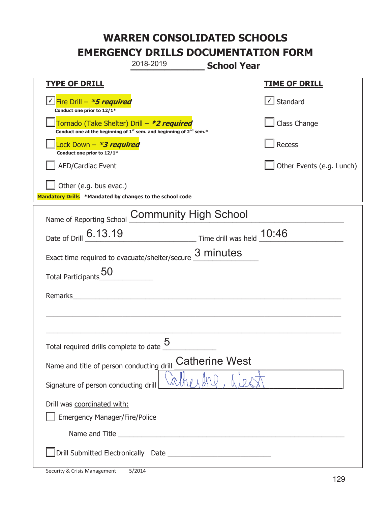|                                                                                    | 2018-2019                                                                                   | <b>School Year</b>                                      |                           |
|------------------------------------------------------------------------------------|---------------------------------------------------------------------------------------------|---------------------------------------------------------|---------------------------|
| <b>TYPE OF DRILL</b>                                                               |                                                                                             |                                                         | <u>TIME OF DRILL</u>      |
| √Fire Drill – <i>*5 required</i><br>Conduct one prior to 12/1*                     |                                                                                             |                                                         | $\cup$ Standard           |
| Tornado (Take Shelter) Drill – *2 required                                         | Conduct one at the beginning of 1 <sup>st</sup> sem. and beginning of 2 <sup>nd</sup> sem.* |                                                         | Class Change              |
| Lock Down - <b>*3 required</b><br>Conduct one prior to 12/1*                       |                                                                                             |                                                         | Recess                    |
| <b>AED/Cardiac Event</b>                                                           |                                                                                             |                                                         | Other Events (e.g. Lunch) |
| Other (e.g. bus evac.)<br>Mandatory Drills *Mandated by changes to the school code |                                                                                             |                                                         |                           |
| Name of Reporting School                                                           | <b>Community High School</b>                                                                |                                                         |                           |
| Date of Drill 6.13.19                                                              |                                                                                             | $\frac{10:46}{2}$ Time drill was held $\frac{10:46}{2}$ |                           |
| Exact time required to evacuate/shelter/secure                                     |                                                                                             | 3 minutes                                               |                           |
| <b>Total Participants</b>                                                          |                                                                                             |                                                         |                           |
| Remarks                                                                            |                                                                                             |                                                         |                           |
|                                                                                    |                                                                                             |                                                         |                           |
| Total required drills complete to date $\dfrac{5}{4}$                              |                                                                                             |                                                         |                           |
| Name and title of person conducting drill                                          |                                                                                             | <b>Catherine West</b>                                   |                           |
| Signature of person conducting drill                                               |                                                                                             |                                                         |                           |
| Drill was coordinated with:<br><b>Emergency Manager/Fire/Police</b>                |                                                                                             |                                                         |                           |
|                                                                                    |                                                                                             |                                                         |                           |
|                                                                                    |                                                                                             |                                                         |                           |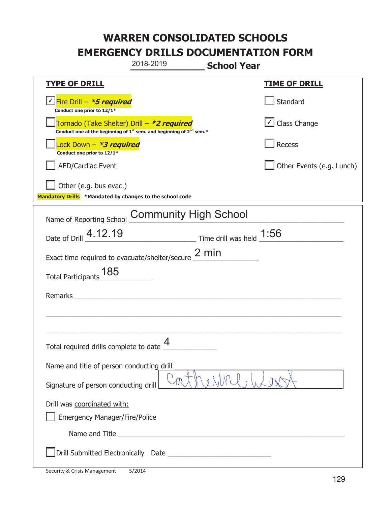|                                                                                    | 2018-2019                                                                                   | <b>School Year</b> |                                   |
|------------------------------------------------------------------------------------|---------------------------------------------------------------------------------------------|--------------------|-----------------------------------|
| <b>TYPE OF DRILL</b>                                                               |                                                                                             |                    | <u>TIME OF DRILL</u>              |
| √Fire Drill – <i>*5 required</i><br>Conduct one prior to 12/1*                     |                                                                                             |                    | Standard                          |
| Tornado (Take Shelter) Drill – *2 required                                         | Conduct one at the beginning of 1 <sup>st</sup> sem. and beginning of 2 <sup>nd</sup> sem.* |                    | $\boxed{\checkmark}$ Class Change |
| Lock Down - <b>*3 required</b><br>Conduct one prior to 12/1*                       |                                                                                             |                    | Recess                            |
| <b>AED/Cardiac Event</b>                                                           |                                                                                             |                    | Other Events (e.g. Lunch)         |
| Other (e.g. bus evac.)<br>Mandatory Drills *Mandated by changes to the school code |                                                                                             |                    |                                   |
| Name of Reporting School                                                           | <b>Community High School</b>                                                                |                    |                                   |
| Date of Drill 4.12.19                                                              | $\frac{1:56}{1:56}$ Time drill was held $\frac{1:56}{1:56}$                                 |                    |                                   |
| Exact time required to evacuate/shelter/secure $\frac{2 \text{ min}}{2}$           |                                                                                             |                    |                                   |
| 185<br><b>Total Participants</b>                                                   |                                                                                             |                    |                                   |
| Remarks                                                                            |                                                                                             |                    |                                   |
|                                                                                    |                                                                                             |                    |                                   |
| Total required drills complete to date $\overset{\textbf{4}}{\rule{0pt}{0.5pt}}$   |                                                                                             |                    |                                   |
| Name and title of person conducting drill                                          |                                                                                             |                    |                                   |
| Signature of person conducting drill                                               |                                                                                             |                    |                                   |
| Drill was coordinated with:<br><b>Emergency Manager/Fire/Police</b>                |                                                                                             |                    |                                   |
|                                                                                    |                                                                                             |                    |                                   |
|                                                                                    |                                                                                             |                    |                                   |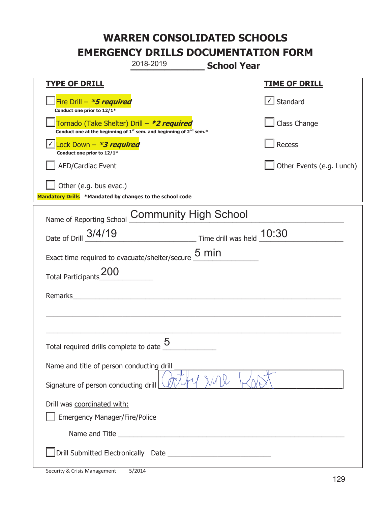|                                                                                    | 2018-2019                                                                                                                                                                                                                            | <b>School Year</b>                                                            |                                   |
|------------------------------------------------------------------------------------|--------------------------------------------------------------------------------------------------------------------------------------------------------------------------------------------------------------------------------------|-------------------------------------------------------------------------------|-----------------------------------|
| <b>TYPE OF DRILL</b>                                                               |                                                                                                                                                                                                                                      |                                                                               | <b>TIME OF DRILL</b>              |
| Fire Drill - *5 required<br>Conduct one prior to 12/1*                             |                                                                                                                                                                                                                                      |                                                                               | $\lfloor \angle \rfloor$ Standard |
| Tornado (Take Shelter) Drill – *2 required                                         | Conduct one at the beginning of 1 <sup>st</sup> sem. and beginning of 2 <sup>nd</sup> sem.*                                                                                                                                          |                                                                               | Class Change                      |
| Lock Down - *3 required<br>Conduct one prior to 12/1*                              |                                                                                                                                                                                                                                      |                                                                               | Recess                            |
| <b>AED/Cardiac Event</b>                                                           |                                                                                                                                                                                                                                      |                                                                               | Other Events (e.g. Lunch)         |
| Other (e.g. bus evac.)<br>Mandatory Drills *Mandated by changes to the school code |                                                                                                                                                                                                                                      |                                                                               |                                   |
| Name of Reporting School                                                           | <b>Community High School</b>                                                                                                                                                                                                         |                                                                               |                                   |
| Date of Drill 3/4/19                                                               |                                                                                                                                                                                                                                      | $\frac{10:30}{\frac{10}{2}}$ Time drill was held $\frac{10:30}{\frac{10}{2}}$ |                                   |
| Exact time required to evacuate/shelter/secure $\underline{\mathsf{5}}$ min        |                                                                                                                                                                                                                                      |                                                                               |                                   |
| <b>Total Participants</b>                                                          |                                                                                                                                                                                                                                      |                                                                               |                                   |
| Remarks                                                                            |                                                                                                                                                                                                                                      |                                                                               |                                   |
|                                                                                    |                                                                                                                                                                                                                                      |                                                                               |                                   |
| Total required drills complete to date $\underline{\mathsf{5}}$                    |                                                                                                                                                                                                                                      |                                                                               |                                   |
| Name and title of person conducting drill                                          |                                                                                                                                                                                                                                      |                                                                               |                                   |
| Signature of person conducting drill                                               |                                                                                                                                                                                                                                      |                                                                               |                                   |
| Drill was coordinated with:<br><b>Emergency Manager/Fire/Police</b>                |                                                                                                                                                                                                                                      |                                                                               |                                   |
|                                                                                    | Name and Title <b>contract to the contract of the contract of the contract of the contract of the contract of the contract of the contract of the contract of the contract of the contract of the contract of the contract of th</b> |                                                                               |                                   |
|                                                                                    |                                                                                                                                                                                                                                      |                                                                               |                                   |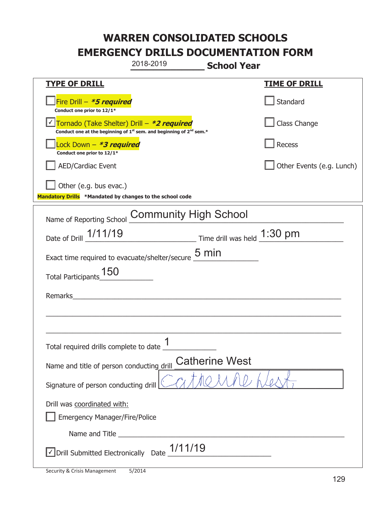|                                                                                    | 2018-2019                                                                                   | <b>School Year</b>    |                           |
|------------------------------------------------------------------------------------|---------------------------------------------------------------------------------------------|-----------------------|---------------------------|
| <b>TYPE OF DRILL</b>                                                               |                                                                                             |                       | <u>TIME OF DRILL</u>      |
| Fire Drill - *5 required<br>Conduct one prior to 12/1*                             |                                                                                             |                       | Standard                  |
| Tornado (Take Shelter) Drill – *2 required                                         | Conduct one at the beginning of 1 <sup>st</sup> sem. and beginning of 2 <sup>nd</sup> sem.* |                       | Class Change              |
| Lock Down – <b>*<i>3 required</i></b><br>Conduct one prior to 12/1*                |                                                                                             |                       | Recess                    |
| <b>AED/Cardiac Event</b>                                                           |                                                                                             |                       | Other Events (e.g. Lunch) |
| Other (e.g. bus evac.)<br>Mandatory Drills *Mandated by changes to the school code |                                                                                             |                       |                           |
| Name of Reporting School Community High School                                     |                                                                                             |                       |                           |
| Date of Drill 1/11/19                                                              | Time drill was held 1:30 pm                                                                 |                       |                           |
| Exact time required to evacuate/shelter/secure $\underline{5}$ min                 |                                                                                             |                       |                           |
| <b>Total Participants</b>                                                          |                                                                                             |                       |                           |
| Remarks                                                                            |                                                                                             |                       |                           |
|                                                                                    |                                                                                             |                       |                           |
| Total required drills complete to date $\frac{1}{\sqrt{2}}$                        |                                                                                             |                       |                           |
| Name and title of person conducting drill                                          |                                                                                             | <b>Catherine West</b> |                           |
| Signature of person conducting drill                                               |                                                                                             |                       |                           |
| Drill was coordinated with:<br><b>Emergency Manager/Fire/Police</b>                |                                                                                             |                       |                           |
|                                                                                    |                                                                                             |                       |                           |
|                                                                                    | Drill Submitted Electronically Date $\_1/11/19$                                             |                       |                           |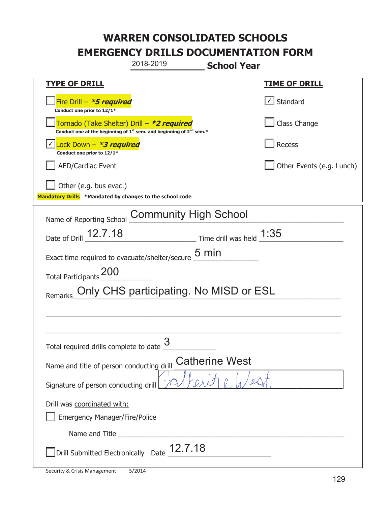|                                                                                    | 2018-2019                                                                                   | <b>School Year</b>         |                           |
|------------------------------------------------------------------------------------|---------------------------------------------------------------------------------------------|----------------------------|---------------------------|
| <u>TYPE OF DRILL</u>                                                               |                                                                                             |                            | <u>TIME OF DRILL</u>      |
| Fire Drill - *5 required<br>Conduct one prior to 12/1*                             |                                                                                             |                            | Standard                  |
| Tornado (Take Shelter) Drill – *2 required                                         | Conduct one at the beginning of 1 <sup>st</sup> sem. and beginning of 2 <sup>nd</sup> sem.* |                            | Class Change              |
| Lock Down - *3 required<br>Conduct one prior to 12/1*                              |                                                                                             |                            | Recess                    |
| <b>AED/Cardiac Event</b>                                                           |                                                                                             |                            | Other Events (e.g. Lunch) |
| Other (e.g. bus evac.)<br>Mandatory Drills *Mandated by changes to the school code |                                                                                             |                            |                           |
| Name of Reporting School                                                           | <b>Community High School</b>                                                                |                            |                           |
| Date of Drill 12.7.18                                                              |                                                                                             | Time drill was held $1:35$ |                           |
| Exact time required to evacuate/shelter/secure                                     | $5 \text{ min}$                                                                             |                            |                           |
| <b>Total Participants</b>                                                          |                                                                                             |                            |                           |
| Remarks                                                                            | Only CHS participating. No MISD or ESL                                                      |                            |                           |
|                                                                                    |                                                                                             |                            |                           |
|                                                                                    | 3                                                                                           |                            |                           |
| Total required drills complete to date $\frac{6}{5}$                               |                                                                                             |                            |                           |
| Name and title of person conducting drill                                          |                                                                                             | <b>Catherine West</b>      |                           |
| Signature of person conducting drill                                               |                                                                                             |                            |                           |
| Drill was coordinated with:                                                        |                                                                                             |                            |                           |
| <b>Emergency Manager/Fire/Police</b>                                               |                                                                                             |                            |                           |
|                                                                                    |                                                                                             |                            |                           |
|                                                                                    | Drill Submitted Electronically Date $12.7.18$                                               |                            |                           |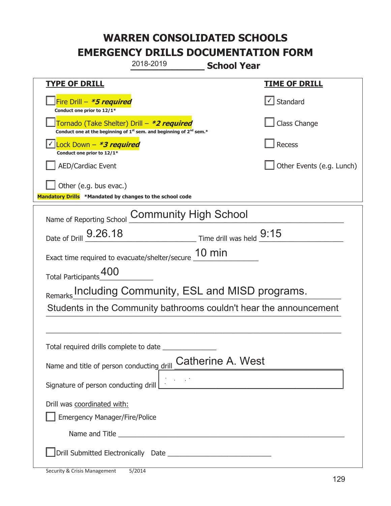| 2018-2019<br><b>School Year</b>                                                                                             |                              |  |  |
|-----------------------------------------------------------------------------------------------------------------------------|------------------------------|--|--|
| <b>TYPE OF DRILL</b>                                                                                                        | <u>TIME OF DRILL</u>         |  |  |
| Fire Drill - *5 required<br>Conduct one prior to 12/1*                                                                      | $\vert \cdot \vert$ Standard |  |  |
| Tornado (Take Shelter) Drill – *2 required<br>Conduct one at the beginning of $1^{st}$ sem. and beginning of $2^{nd}$ sem.* | Class Change                 |  |  |
| Lock Down - *3 required<br>Conduct one prior to 12/1*                                                                       | Recess                       |  |  |
| <b>AED/Cardiac Event</b>                                                                                                    | Other Events (e.g. Lunch)    |  |  |
| Other (e.g. bus evac.)<br>Mandatory Drills *Mandated by changes to the school code                                          |                              |  |  |
| <b>Community High School</b><br>Name of Reporting School                                                                    |                              |  |  |
| Date of Drill _ 9.26.18<br>$\frac{1}{2}$ Time drill was held $\frac{9:15}{2}$                                               |                              |  |  |
| Exact time required to evacuate/shelter/secure 10 min                                                                       |                              |  |  |
| Total Participants_400                                                                                                      |                              |  |  |
| Including Community, ESL and MISD programs.<br>Remarks                                                                      |                              |  |  |
| Students in the Community bathrooms couldn't hear the announcement                                                          |                              |  |  |
|                                                                                                                             |                              |  |  |
| Total required drills complete to date                                                                                      |                              |  |  |
| <b>Catherine A. West</b><br>Name and title of person conducting drill                                                       |                              |  |  |
| Signature of person conducting drill                                                                                        |                              |  |  |
| Drill was coordinated with:<br><b>Emergency Manager/Fire/Police</b>                                                         |                              |  |  |
|                                                                                                                             |                              |  |  |
|                                                                                                                             |                              |  |  |